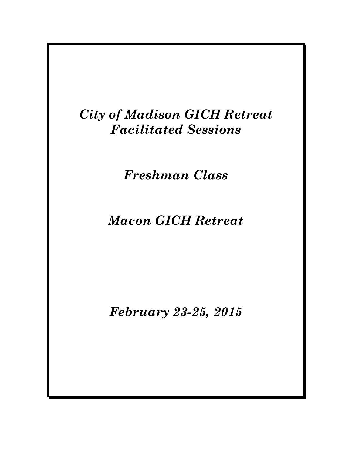# *City of Madison GICH Retreat Facilitated Sessions*

*Freshman Class*

# *Macon GICH Retreat*

*February 23-25, 2015*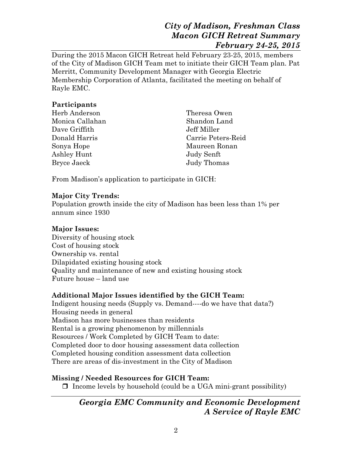During the 2015 Macon GICH Retreat held February 23-25, 2015, members of the City of Madison GICH Team met to initiate their GICH Team plan. Pat Merritt, Community Development Manager with Georgia Electric Membership Corporation of Atlanta, facilitated the meeting on behalf of Rayle EMC.

### **Participants**

| Herb Anderson   | Theresa Owen       |
|-----------------|--------------------|
| Monica Callahan | Shandon Land       |
| Dave Griffith   | Jeff Miller        |
| Donald Harris   | Carrie Peters-Reid |
| Sonya Hope      | Maureen Ronan      |
| Ashley Hunt     | Judy Senft         |
| Bryce Jaeck     | Judy Thomas        |

From Madison's application to participate in GICH:

#### **Major City Trends:**

Population growth inside the city of Madison has been less than 1% per annum since 1930

### **Major Issues:**

Diversity of housing stock Cost of housing stock Ownership vs. rental Dilapidated existing housing stock Quality and maintenance of new and existing housing stock Future house – land use

### **Additional Major Issues identified by the GICH Team:**

Indigent housing needs (Supply vs. Demand----do we have that data?) Housing needs in general Madison has more businesses than residents Rental is a growing phenomenon by millennials Resources / Work Completed by GICH Team to date: Completed door to door housing assessment data collection Completed housing condition assessment data collection There are areas of dis-investment in the City of Madison

## **Missing / Needed Resources for GICH Team:**

 $\Box$  Income levels by household (could be a UGA mini-grant possibility)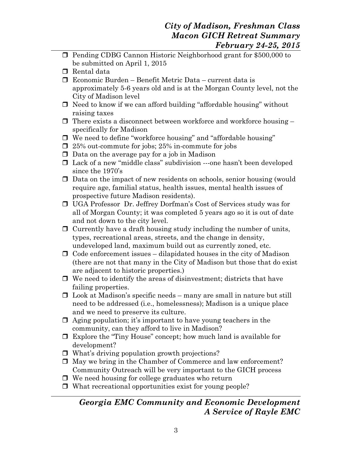- **Pending CDBG Cannon Historic Neighborhood grant for \$500,000 to** be submitted on April 1, 2015
- □ Rental data
- Economic Burden Benefit Metric Data current data is approximately 5-6 years old and is at the Morgan County level, not the City of Madison level
- $\Box$  Need to know if we can afford building "affordable housing" without raising taxes
- $\Box$  There exists a disconnect between workforce and workforce housing specifically for Madison
- We need to define "workforce housing" and "affordable housing"
- $\Box$  25% out-commute for jobs; 25% in-commute for jobs
- $\Box$  Data on the average pay for a job in Madison
- Lack of a new "middle class" subdivision ---one hasn't been developed since the 1970's
- Data on the impact of new residents on schools, senior housing (would require age, familial status, health issues, mental health issues of prospective future Madison residents).
- UGA Professor Dr. Jeffrey Dorfman's Cost of Services study was for all of Morgan County; it was completed 5 years ago so it is out of date and not down to the city level.
- $\Box$  Currently have a draft housing study including the number of units, types, recreational areas, streets, and the change in density, undeveloped land, maximum build out as currently zoned, etc.
- $\Box$  Code enforcement issues dilapidated houses in the city of Madison (there are not that many in the City of Madison but those that do exist are adjacent to historic properties.)
- $\Box$  We need to identify the areas of disinvestment; districts that have failing properties.
- $\Box$  Look at Madison's specific needs many are small in nature but still need to be addressed (i.e., homelessness); Madison is a unique place and we need to preserve its culture.
- $\Box$  Aging population; it's important to have young teachers in the community, can they afford to live in Madison?
- Explore the "Tiny House" concept; how much land is available for development?
- □ What's driving population growth projections?
- May we bring in the Chamber of Commerce and law enforcement? Community Outreach will be very important to the GICH process
- $\Box$  We need housing for college graduates who return
- $\Box$  What recreational opportunities exist for young people?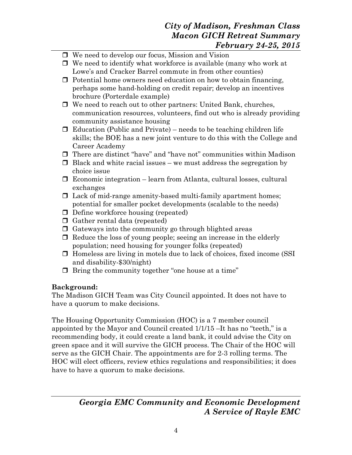- □ We need to develop our focus, Mission and Vision
- $\Box$  We need to identify what workforce is available (many who work at Lowe's and Cracker Barrel commute in from other counties)
- $\Box$  Potential home owners need education on how to obtain financing, perhaps some hand-holding on credit repair; develop an incentives brochure (Porterdale example)
- □ We need to reach out to other partners: United Bank, churches, communication resources, volunteers, find out who is already providing community assistance housing
- $\Box$  Education (Public and Private) needs to be teaching children life skills; the BOE has a new joint venture to do this with the College and Career Academy
- There are distinct "have" and "have not" communities within Madison
- $\Box$  Black and white racial issues we must address the segregation by choice issue
- $\Box$  Economic integration learn from Atlanta, cultural losses, cultural exchanges
- $\Box$  Lack of mid-range amenity-based multi-family apartment homes; potential for smaller pocket developments (scalable to the needs)
- $\Box$  Define workforce housing (repeated)
- $\Box$  Gather rental data (repeated)
- $\Box$  Gateways into the community go through blighted areas
- $\Box$  Reduce the loss of young people; seeing an increase in the elderly population; need housing for younger folks (repeated)
- Homeless are living in motels due to lack of choices, fixed income (SSI and disability-\$30/night)
- $\Box$  Bring the community together "one house at a time"

## **Background:**

The Madison GICH Team was City Council appointed. It does not have to have a quorum to make decisions.

The Housing Opportunity Commission (HOC) is a 7 member council appointed by the Mayor and Council created 1/1/15 –It has no "teeth," is a recommending body, it could create a land bank, it could advise the City on green space and it will survive the GICH process. The Chair of the HOC will serve as the GICH Chair. The appointments are for 2-3 rolling terms. The HOC will elect officers, review ethics regulations and responsibilities; it does have to have a quorum to make decisions.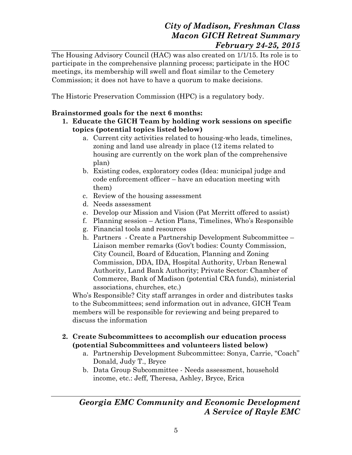The Housing Advisory Council (HAC) was also created on 1/1/15. Its role is to participate in the comprehensive planning process; participate in the HOC meetings, its membership will swell and float similar to the Cemetery Commission; it does not have to have a quorum to make decisions.

The Historic Preservation Commission (HPC) is a regulatory body.

### **Brainstormed goals for the next 6 months:**

- **1. Educate the GICH Team by holding work sessions on specific topics (potential topics listed below)**
	- a. Current city activities related to housing-who leads, timelines, zoning and land use already in place (12 items related to housing are currently on the work plan of the comprehensive plan)
	- b. Existing codes, exploratory codes (Idea: municipal judge and code enforcement officer – have an education meeting with them)
	- c. Review of the housing assessment
	- d. Needs assessment
	- e. Develop our Mission and Vision (Pat Merritt offered to assist)
	- f. Planning session Action Plans, Timelines, Who's Responsible
	- g. Financial tools and resources
	- h. Partners Create a Partnership Development Subcommittee Liaison member remarks (Gov't bodies: County Commission, City Council, Board of Education, Planning and Zoning Commission, DDA, IDA, Hospital Authority, Urban Renewal Authority, Land Bank Authority; Private Sector: Chamber of Commerce, Bank of Madison (potential CRA funds), ministerial associations, churches, etc.)

Who's Responsible? City staff arranges in order and distributes tasks to the Subcommittees; send information out in advance, GICH Team members will be responsible for reviewing and being prepared to discuss the information

#### **2. Create Subcommittees to accomplish our education process (potential Subcommittees and volunteers listed below)**

- a. Partnership Development Subcommittee: Sonya, Carrie, "Coach" Donald, Judy T., Bryce
- b. Data Group Subcommittee Needs assessment, household income, etc.: Jeff, Theresa, Ashley, Bryce, Erica